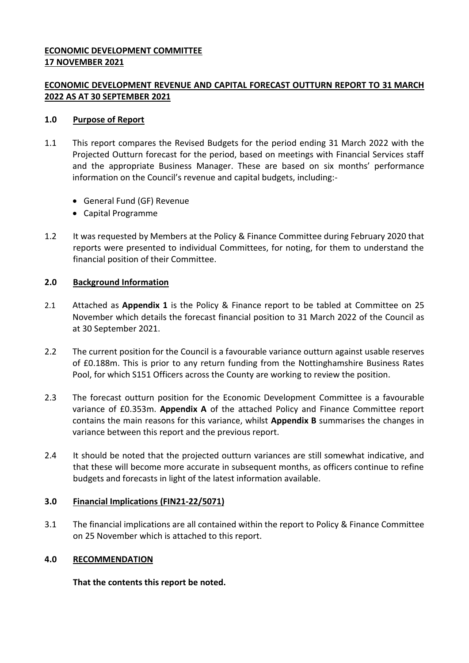## **ECONOMIC DEVELOPMENT COMMITTEE 17 NOVEMBER 2021**

# **ECONOMIC DEVELOPMENT REVENUE AND CAPITAL FORECAST OUTTURN REPORT TO 31 MARCH 2022 AS AT 30 SEPTEMBER 2021**

### **1.0 Purpose of Report**

- 1.1 This report compares the Revised Budgets for the period ending 31 March 2022 with the Projected Outturn forecast for the period, based on meetings with Financial Services staff and the appropriate Business Manager. These are based on six months' performance information on the Council's revenue and capital budgets, including:-
	- General Fund (GF) Revenue
	- Capital Programme
- 1.2 It was requested by Members at the Policy & Finance Committee during February 2020 that reports were presented to individual Committees, for noting, for them to understand the financial position of their Committee.

## **2.0 Background Information**

- 2.1 Attached as **Appendix 1** is the Policy & Finance report to be tabled at Committee on 25 November which details the forecast financial position to 31 March 2022 of the Council as at 30 September 2021.
- 2.2 The current position for the Council is a favourable variance outturn against usable reserves of £0.188m. This is prior to any return funding from the Nottinghamshire Business Rates Pool, for which S151 Officers across the County are working to review the position.
- 2.3 The forecast outturn position for the Economic Development Committee is a favourable variance of £0.353m. **Appendix A** of the attached Policy and Finance Committee report contains the main reasons for this variance, whilst **Appendix B** summarises the changes in variance between this report and the previous report.
- 2.4 It should be noted that the projected outturn variances are still somewhat indicative, and that these will become more accurate in subsequent months, as officers continue to refine budgets and forecasts in light of the latest information available.

#### **3.0 Financial Implications (FIN21-22/5071)**

3.1 The financial implications are all contained within the report to Policy & Finance Committee on 25 November which is attached to this report.

# **4.0 RECOMMENDATION**

**That the contents this report be noted.**